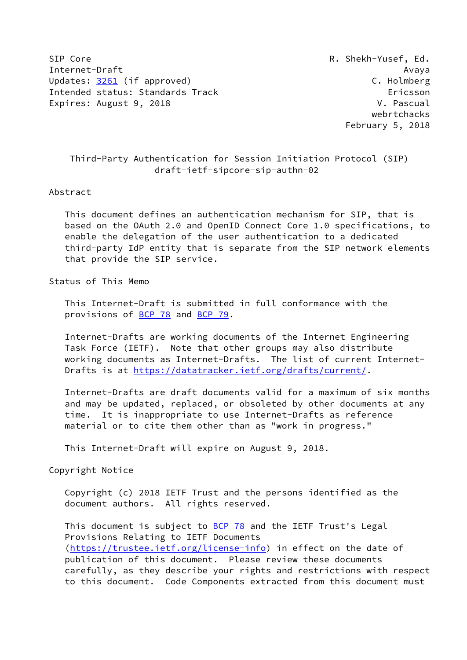SIP Core R. Shekh-Yusef, Ed. Internet-Draft Avaya Updates: [3261](https://datatracker.ietf.org/doc/pdf/rfc3261) (if approved) C. Holmberg Intended status: Standards Track Ericsson Expires: August 9, 2018 V. Pascual

 webrtchacks February 5, 2018

# Third-Party Authentication for Session Initiation Protocol (SIP) draft-ietf-sipcore-sip-authn-02

#### Abstract

 This document defines an authentication mechanism for SIP, that is based on the OAuth 2.0 and OpenID Connect Core 1.0 specifications, to enable the delegation of the user authentication to a dedicated third-party IdP entity that is separate from the SIP network elements that provide the SIP service.

### Status of This Memo

 This Internet-Draft is submitted in full conformance with the provisions of **BCP 78** and **BCP 79**.

 Internet-Drafts are working documents of the Internet Engineering Task Force (IETF). Note that other groups may also distribute working documents as Internet-Drafts. The list of current Internet Drafts is at<https://datatracker.ietf.org/drafts/current/>.

 Internet-Drafts are draft documents valid for a maximum of six months and may be updated, replaced, or obsoleted by other documents at any time. It is inappropriate to use Internet-Drafts as reference material or to cite them other than as "work in progress."

This Internet-Draft will expire on August 9, 2018.

Copyright Notice

 Copyright (c) 2018 IETF Trust and the persons identified as the document authors. All rights reserved.

This document is subject to **[BCP 78](https://datatracker.ietf.org/doc/pdf/bcp78)** and the IETF Trust's Legal Provisions Relating to IETF Documents [\(https://trustee.ietf.org/license-info](https://trustee.ietf.org/license-info)) in effect on the date of publication of this document. Please review these documents carefully, as they describe your rights and restrictions with respect to this document. Code Components extracted from this document must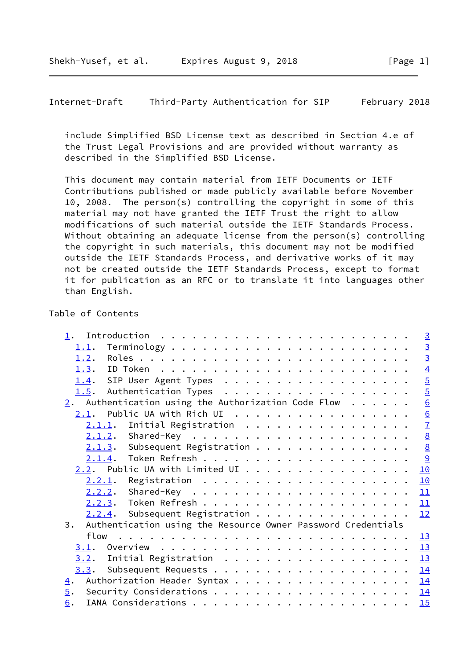include Simplified BSD License text as described in Section 4.e of the Trust Legal Provisions and are provided without warranty as described in the Simplified BSD License.

 This document may contain material from IETF Documents or IETF Contributions published or made publicly available before November 10, 2008. The person(s) controlling the copyright in some of this material may not have granted the IETF Trust the right to allow modifications of such material outside the IETF Standards Process. Without obtaining an adequate license from the person(s) controlling the copyright in such materials, this document may not be modified outside the IETF Standards Process, and derivative works of it may not be created outside the IETF Standards Process, except to format it for publication as an RFC or to translate it into languages other than English.

# Table of Contents

| 1.                                                                 | $\frac{3}{2}$  |
|--------------------------------------------------------------------|----------------|
| 1.1.                                                               | $\overline{3}$ |
| 1.2.                                                               | $\overline{3}$ |
| 1.3.                                                               | $\overline{4}$ |
| 1.4. SIP User Agent Types                                          | $\overline{5}$ |
| Authentication Types<br>1.5.                                       | $\overline{5}$ |
| 2. Authentication using the Authorization Code Flow $\dots$        | 6              |
| $2.1$ . Public UA with Rich UI                                     | 6              |
|                                                                    | $\overline{1}$ |
|                                                                    | 8              |
| $2.1.3$ . Subsequent Registration 8                                |                |
|                                                                    | $\overline{a}$ |
| $2.2$ . Public UA with Limited UI                                  | 10             |
| $2.2.1$ .                                                          | 10             |
|                                                                    | 11             |
|                                                                    | 11             |
| $2.2.4$ . Subsequent Registration                                  | 12             |
| Authentication using the Resource Owner Password Credentials<br>3. |                |
|                                                                    | 13             |
| 3.1.                                                               | 13             |
| 3.2. Initial Registration                                          | 13             |
| 3.3.                                                               | 14             |
| Authorization Header Syntax<br>$\overline{4}$ .                    | <u>14</u>      |
| 5.                                                                 | 14             |
| 6.                                                                 | 15             |
|                                                                    |                |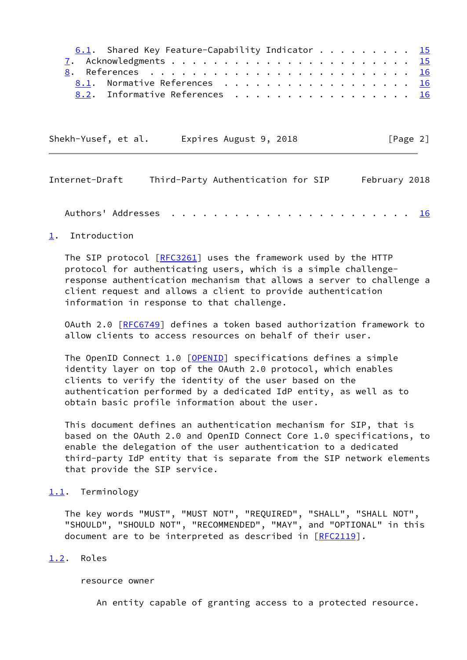| 6.1. Shared Key Feature-Capability Indicator 15 |  |  |  |  |  |  |  |  |
|-------------------------------------------------|--|--|--|--|--|--|--|--|
|                                                 |  |  |  |  |  |  |  |  |
| <u>8</u> . References <u>16</u>                 |  |  |  |  |  |  |  |  |
| 8.1. Normative References 16                    |  |  |  |  |  |  |  |  |
| 8.2. Informative References 16                  |  |  |  |  |  |  |  |  |

Shekh-Yusef, et al. Expires August 9, 2018 [Page 2]

<span id="page-2-1"></span>

| Internet-Draft | Third-Party Authentication for SIP |  |  |  |  |  |  |  |  |  |  |  | February 2018 |
|----------------|------------------------------------|--|--|--|--|--|--|--|--|--|--|--|---------------|
|                |                                    |  |  |  |  |  |  |  |  |  |  |  |               |
|                |                                    |  |  |  |  |  |  |  |  |  |  |  |               |

## <span id="page-2-0"></span>[1](#page-2-0). Introduction

The SIP protocol [\[RFC3261](https://datatracker.ietf.org/doc/pdf/rfc3261)] uses the framework used by the HTTP protocol for authenticating users, which is a simple challenge response authentication mechanism that allows a server to challenge a client request and allows a client to provide authentication information in response to that challenge.

 OAuth 2.0 [[RFC6749](https://datatracker.ietf.org/doc/pdf/rfc6749)] defines a token based authorization framework to allow clients to access resources on behalf of their user.

The OpenID Connect 1.0 [\[OPENID](#page-17-4)] specifications defines a simple identity layer on top of the OAuth 2.0 protocol, which enables clients to verify the identity of the user based on the authentication performed by a dedicated IdP entity, as well as to obtain basic profile information about the user.

 This document defines an authentication mechanism for SIP, that is based on the OAuth 2.0 and OpenID Connect Core 1.0 specifications, to enable the delegation of the user authentication to a dedicated third-party IdP entity that is separate from the SIP network elements that provide the SIP service.

#### <span id="page-2-2"></span>[1.1](#page-2-2). Terminology

 The key words "MUST", "MUST NOT", "REQUIRED", "SHALL", "SHALL NOT", "SHOULD", "SHOULD NOT", "RECOMMENDED", "MAY", and "OPTIONAL" in this document are to be interpreted as described in [\[RFC2119](https://datatracker.ietf.org/doc/pdf/rfc2119)].

# <span id="page-2-3"></span>[1.2](#page-2-3). Roles

resource owner

An entity capable of granting access to a protected resource.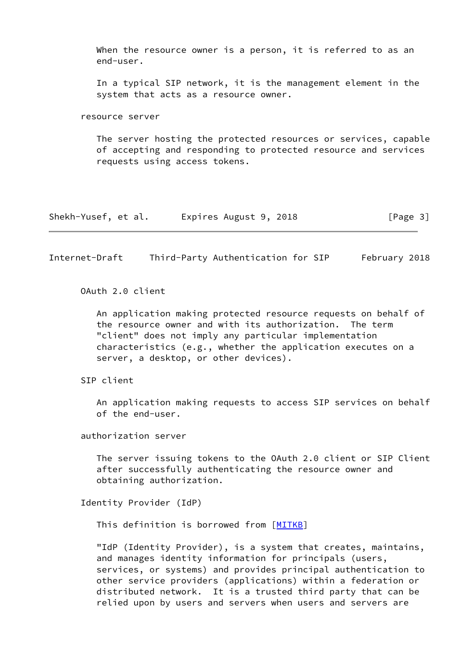When the resource owner is a person, it is referred to as an end-user.

 In a typical SIP network, it is the management element in the system that acts as a resource owner.

resource server

 The server hosting the protected resources or services, capable of accepting and responding to protected resource and services requests using access tokens.

| Shekh-Yusef, et al. | Expires August 9, 2018 | [Page 3] |
|---------------------|------------------------|----------|
|---------------------|------------------------|----------|

<span id="page-3-0"></span>Internet-Draft Third-Party Authentication for SIP February 2018

OAuth 2.0 client

 An application making protected resource requests on behalf of the resource owner and with its authorization. The term "client" does not imply any particular implementation characteristics (e.g., whether the application executes on a server, a desktop, or other devices).

SIP client

 An application making requests to access SIP services on behalf of the end-user.

authorization server

 The server issuing tokens to the OAuth 2.0 client or SIP Client after successfully authenticating the resource owner and obtaining authorization.

Identity Provider (IdP)

This definition is borrowed from [\[MITKB](#page-17-5)]

 "IdP (Identity Provider), is a system that creates, maintains, and manages identity information for principals (users, services, or systems) and provides principal authentication to other service providers (applications) within a federation or distributed network. It is a trusted third party that can be relied upon by users and servers when users and servers are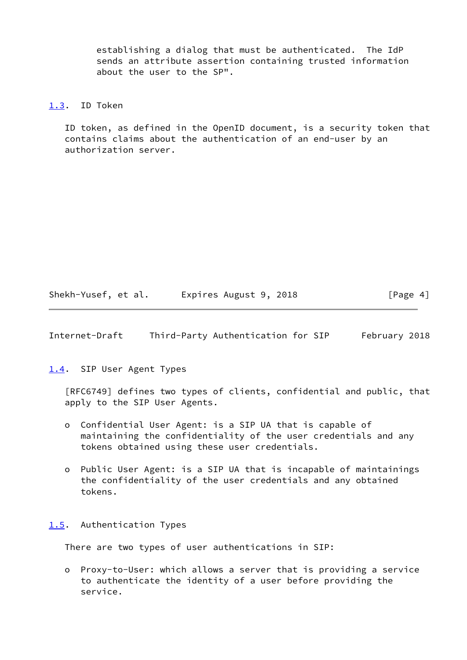establishing a dialog that must be authenticated. The IdP sends an attribute assertion containing trusted information about the user to the SP".

### <span id="page-4-0"></span>[1.3](#page-4-0). ID Token

 ID token, as defined in the OpenID document, is a security token that contains claims about the authentication of an end-user by an authorization server.

Shekh-Yusef, et al. Expires August 9, 2018 [Page 4]

<span id="page-4-2"></span>Internet-Draft Third-Party Authentication for SIP February 2018

<span id="page-4-1"></span>[1.4](#page-4-1). SIP User Agent Types

 [RFC6749] defines two types of clients, confidential and public, that apply to the SIP User Agents.

- o Confidential User Agent: is a SIP UA that is capable of maintaining the confidentiality of the user credentials and any tokens obtained using these user credentials.
- o Public User Agent: is a SIP UA that is incapable of maintainings the confidentiality of the user credentials and any obtained tokens.

#### <span id="page-4-3"></span>[1.5](#page-4-3). Authentication Types

There are two types of user authentications in SIP:

 o Proxy-to-User: which allows a server that is providing a service to authenticate the identity of a user before providing the service.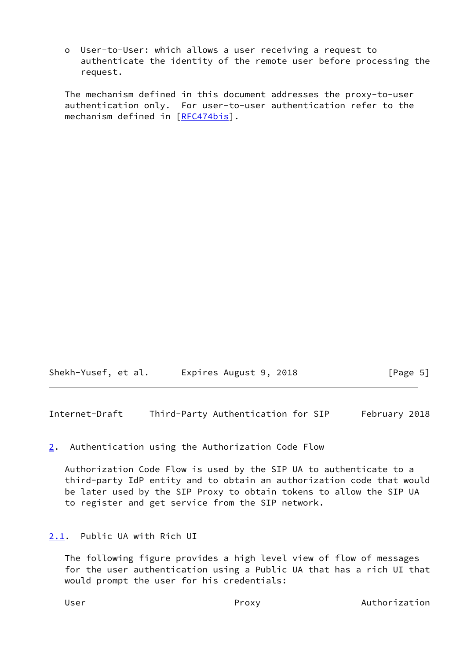o User-to-User: which allows a user receiving a request to authenticate the identity of the remote user before processing the request.

 The mechanism defined in this document addresses the proxy-to-user authentication only. For user-to-user authentication refer to the mechanism defined in [\[RFC474bis\]](#page-17-6).

Shekh-Yusef, et al. Expires August 9, 2018 [Page 5]

<span id="page-5-1"></span>Internet-Draft Third-Party Authentication for SIP February 2018

## <span id="page-5-0"></span>[2](#page-5-0). Authentication using the Authorization Code Flow

 Authorization Code Flow is used by the SIP UA to authenticate to a third-party IdP entity and to obtain an authorization code that would be later used by the SIP Proxy to obtain tokens to allow the SIP UA to register and get service from the SIP network.

# <span id="page-5-2"></span>[2.1](#page-5-2). Public UA with Rich UI

 The following figure provides a high level view of flow of messages for the user authentication using a Public UA that has a rich UI that would prompt the user for his credentials: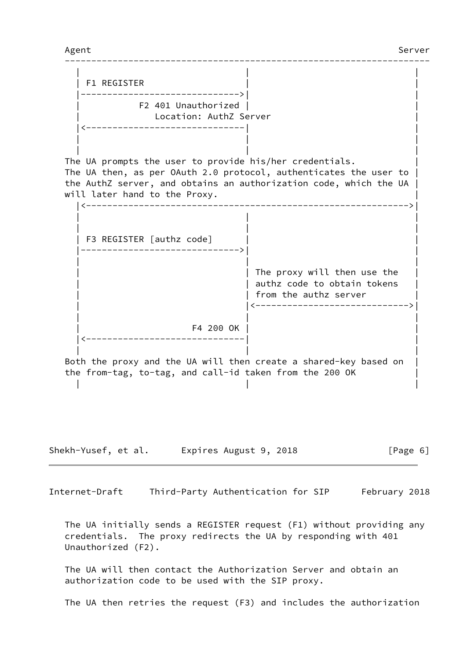--------------------------------------------------------------------- | | | | F1 REGISTER | | |------------------------------>| | | F2 401 Unauthorized | | | Location: AuthZ Server | |<------------------------------| | | | | | | | The UA prompts the user to provide his/her credentials. The UA then, as per OAuth 2.0 protocol, authenticates the user to | the AuthZ server, and obtains an authorization code, which the UA | will later hand to the Proxy. |<------------------------------------------------------------->| | | | | | | | F3 REGISTER [authz code] | | |------------------------------>| | | | | | The proxy will then use the | authz code to obtain tokens | from the authz server | |<----------------------------->| | | | | F4 200 OK | | |<------------------------------| | | | | Both the proxy and the UA will then create a shared-key based on | the from-tag, to-tag, and call-id taken from the 200 OK | | | | Shekh-Yusef, et al. Expires August 9, 2018 [Page 6]

<span id="page-6-0"></span>Internet-Draft Third-Party Authentication for SIP February 2018

 The UA initially sends a REGISTER request (F1) without providing any credentials. The proxy redirects the UA by responding with 401 Unauthorized (F2).

 The UA will then contact the Authorization Server and obtain an authorization code to be used with the SIP proxy.

The UA then retries the request (F3) and includes the authorization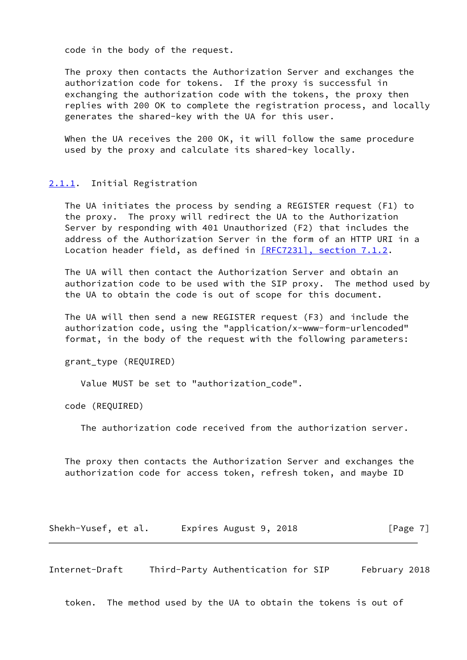code in the body of the request.

 The proxy then contacts the Authorization Server and exchanges the authorization code for tokens. If the proxy is successful in exchanging the authorization code with the tokens, the proxy then replies with 200 OK to complete the registration process, and locally generates the shared-key with the UA for this user.

 When the UA receives the 200 OK, it will follow the same procedure used by the proxy and calculate its shared-key locally.

#### <span id="page-7-0"></span>[2.1.1](#page-7-0). Initial Registration

 The UA initiates the process by sending a REGISTER request (F1) to the proxy. The proxy will redirect the UA to the Authorization Server by responding with 401 Unauthorized (F2) that includes the address of the Authorization Server in the form of an HTTP URI in a Location header field, as defined in [\[RFC7231\], section](https://datatracker.ietf.org/doc/pdf/rfc7231#section-7.1.2) 7.1.2.

 The UA will then contact the Authorization Server and obtain an authorization code to be used with the SIP proxy. The method used by the UA to obtain the code is out of scope for this document.

 The UA will then send a new REGISTER request (F3) and include the authorization code, using the "application/x-www-form-urlencoded" format, in the body of the request with the following parameters:

grant\_type (REQUIRED)

Value MUST be set to "authorization\_code".

code (REQUIRED)

The authorization code received from the authorization server.

 The proxy then contacts the Authorization Server and exchanges the authorization code for access token, refresh token, and maybe ID

Shekh-Yusef, et al. Expires August 9, 2018 [Page 7]

<span id="page-7-1"></span>Internet-Draft Third-Party Authentication for SIP February 2018

token. The method used by the UA to obtain the tokens is out of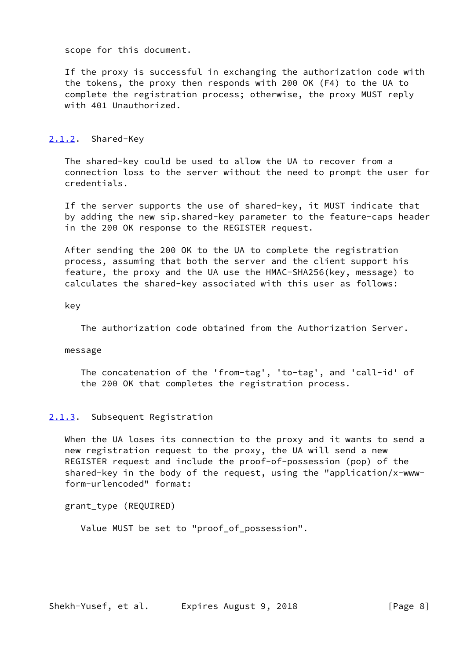scope for this document.

 If the proxy is successful in exchanging the authorization code with the tokens, the proxy then responds with 200 OK (F4) to the UA to complete the registration process; otherwise, the proxy MUST reply with 401 Unauthorized.

# <span id="page-8-0"></span>[2.1.2](#page-8-0). Shared-Key

 The shared-key could be used to allow the UA to recover from a connection loss to the server without the need to prompt the user for credentials.

 If the server supports the use of shared-key, it MUST indicate that by adding the new sip.shared-key parameter to the feature-caps header in the 200 OK response to the REGISTER request.

 After sending the 200 OK to the UA to complete the registration process, assuming that both the server and the client support his feature, the proxy and the UA use the HMAC-SHA256(key, message) to calculates the shared-key associated with this user as follows:

key

The authorization code obtained from the Authorization Server.

#### message

 The concatenation of the 'from-tag', 'to-tag', and 'call-id' of the 200 OK that completes the registration process.

## <span id="page-8-1"></span>[2.1.3](#page-8-1). Subsequent Registration

 When the UA loses its connection to the proxy and it wants to send a new registration request to the proxy, the UA will send a new REGISTER request and include the proof-of-possession (pop) of the shared-key in the body of the request, using the "application/x-www form-urlencoded" format:

grant\_type (REQUIRED)

Value MUST be set to "proof\_of\_possession".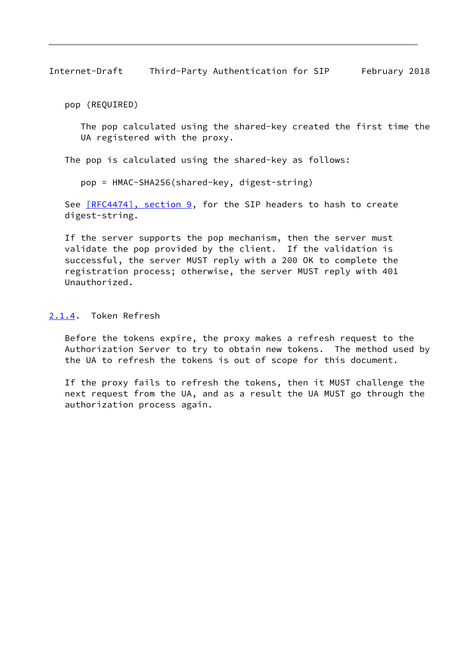<span id="page-9-1"></span>pop (REQUIRED)

 The pop calculated using the shared-key created the first time the UA registered with the proxy.

The pop is calculated using the shared-key as follows:

pop = HMAC-SHA256(shared-key, digest-string)

See [\[RFC4474\], section](https://datatracker.ietf.org/doc/pdf/rfc4474#section-9) 9, for the SIP headers to hash to create digest-string.

 If the server supports the pop mechanism, then the server must validate the pop provided by the client. If the validation is successful, the server MUST reply with a 200 OK to complete the registration process; otherwise, the server MUST reply with 401 Unauthorized.

## <span id="page-9-0"></span>[2.1.4](#page-9-0). Token Refresh

 Before the tokens expire, the proxy makes a refresh request to the Authorization Server to try to obtain new tokens. The method used by the UA to refresh the tokens is out of scope for this document.

 If the proxy fails to refresh the tokens, then it MUST challenge the next request from the UA, and as a result the UA MUST go through the authorization process again.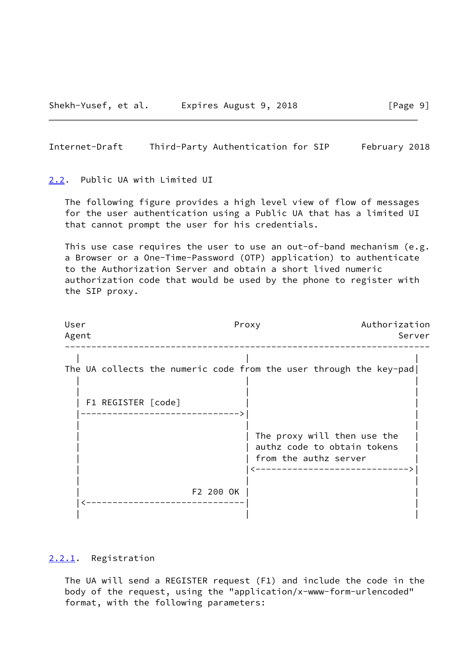#### <span id="page-10-1"></span><span id="page-10-0"></span>[2.2](#page-10-0). Public UA with Limited UI

 The following figure provides a high level view of flow of messages for the user authentication using a Public UA that has a limited UI that cannot prompt the user for his credentials.

 This use case requires the user to use an out-of-band mechanism (e.g. a Browser or a One-Time-Password (OTP) application) to authenticate to the Authorization Server and obtain a short lived numeric authorization code that would be used by the phone to register with the SIP proxy.

| User<br>Agent | Proxy                                                                                    | Authorization<br>Server |
|---------------|------------------------------------------------------------------------------------------|-------------------------|
|               | The UA collects the numeric code from the user through the key-pad<br>F1 REGISTER [code] |                         |
|               | The proxy will then use the<br>authz code to obtain tokens<br>from the authz server      |                         |
|               | F2 200 OK                                                                                |                         |

# <span id="page-10-2"></span>[2.2.1](#page-10-2). Registration

 The UA will send a REGISTER request (F1) and include the code in the body of the request, using the "application/x-www-form-urlencoded" format, with the following parameters: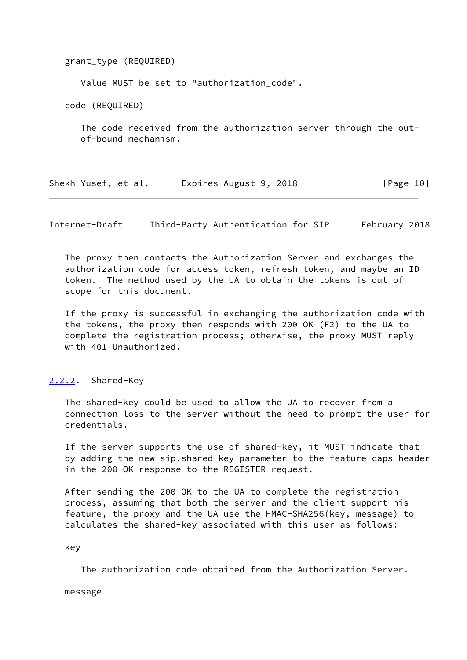grant\_type (REQUIRED)

Value MUST be set to "authorization\_code".

code (REQUIRED)

 The code received from the authorization server through the out of-bound mechanism.

Shekh-Yusef, et al. Expires August 9, 2018 [Page 10]

<span id="page-11-1"></span>Internet-Draft Third-Party Authentication for SIP February 2018

 The proxy then contacts the Authorization Server and exchanges the authorization code for access token, refresh token, and maybe an ID token. The method used by the UA to obtain the tokens is out of scope for this document.

 If the proxy is successful in exchanging the authorization code with the tokens, the proxy then responds with 200 OK (F2) to the UA to complete the registration process; otherwise, the proxy MUST reply with 401 Unauthorized.

#### <span id="page-11-0"></span>[2.2.2](#page-11-0). Shared-Key

 The shared-key could be used to allow the UA to recover from a connection loss to the server without the need to prompt the user for credentials.

 If the server supports the use of shared-key, it MUST indicate that by adding the new sip.shared-key parameter to the feature-caps header in the 200 OK response to the REGISTER request.

 After sending the 200 OK to the UA to complete the registration process, assuming that both the server and the client support his feature, the proxy and the UA use the HMAC-SHA256(key, message) to calculates the shared-key associated with this user as follows:

key

The authorization code obtained from the Authorization Server.

message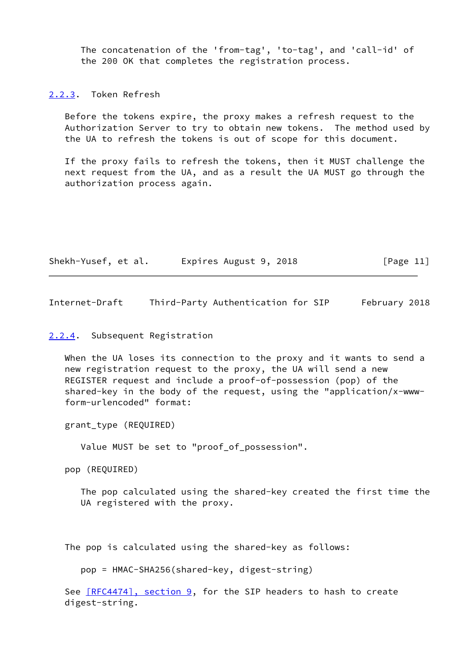The concatenation of the 'from-tag', 'to-tag', and 'call-id' of the 200 OK that completes the registration process.

<span id="page-12-0"></span>[2.2.3](#page-12-0). Token Refresh

 Before the tokens expire, the proxy makes a refresh request to the Authorization Server to try to obtain new tokens. The method used by the UA to refresh the tokens is out of scope for this document.

 If the proxy fails to refresh the tokens, then it MUST challenge the next request from the UA, and as a result the UA MUST go through the authorization process again.

| Shekh-Yusef, et al. | Expires August 9, 2018 | [Page 11] |
|---------------------|------------------------|-----------|
|---------------------|------------------------|-----------|

<span id="page-12-2"></span>Internet-Draft Third-Party Authentication for SIP February 2018

### <span id="page-12-1"></span>[2.2.4](#page-12-1). Subsequent Registration

 When the UA loses its connection to the proxy and it wants to send a new registration request to the proxy, the UA will send a new REGISTER request and include a proof-of-possession (pop) of the shared-key in the body of the request, using the "application/x-www form-urlencoded" format:

grant\_type (REQUIRED)

Value MUST be set to "proof\_of\_possession".

pop (REQUIRED)

 The pop calculated using the shared-key created the first time the UA registered with the proxy.

The pop is calculated using the shared-key as follows:

pop = HMAC-SHA256(shared-key, digest-string)

See  $[REC4474]$ , section 9, for the SIP headers to hash to create digest-string.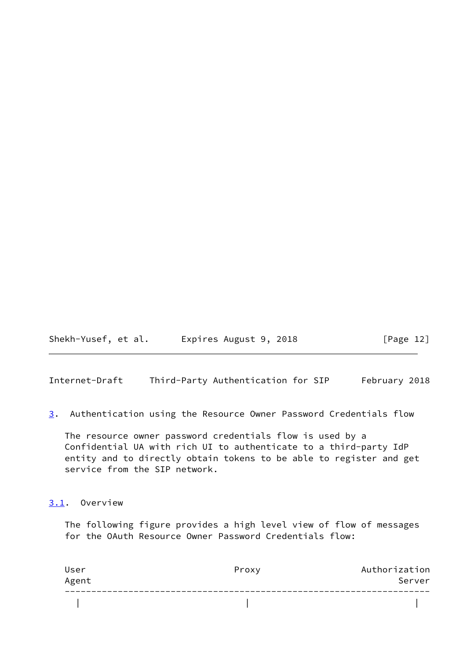Shekh-Yusef, et al. Expires August 9, 2018 [Page 12]

<span id="page-13-0"></span>Internet-Draft Third-Party Authentication for SIP February 2018

<span id="page-13-2"></span>[3](#page-13-2). Authentication using the Resource Owner Password Credentials flow

 The resource owner password credentials flow is used by a Confidential UA with rich UI to authenticate to a third-party IdP entity and to directly obtain tokens to be able to register and get service from the SIP network.

#### <span id="page-13-1"></span>[3.1](#page-13-1). Overview

 The following figure provides a high level view of flow of messages for the OAuth Resource Owner Password Credentials flow:

| User<br>Agent | Proxy | Authorization<br>Server |
|---------------|-------|-------------------------|
|               |       |                         |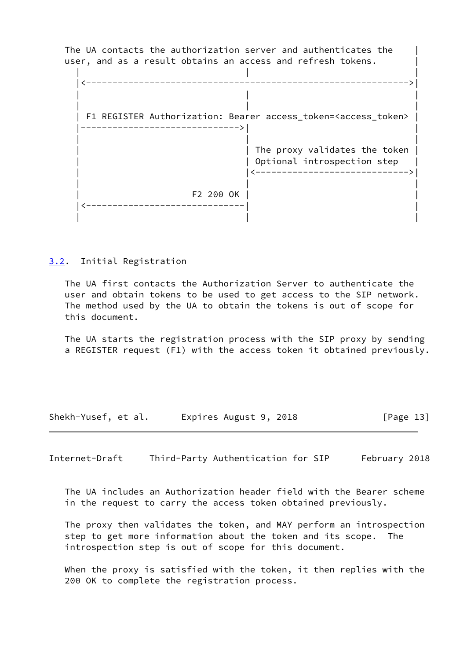The UA contacts the authorization server and authenticates the | user, and as a result obtains an access and refresh tokens.

 | | | |<------------------------------------------------------------->| | | | | | | | F1 REGISTER Authorization: Bearer access\_token=<access\_token> | |------------------------------>| | | | | | The proxy validates the token | | Optional introspection step | | |<----------------------------->| | | | | F2 200 OK | | |<------------------------------| | | | |

<span id="page-14-0"></span>[3.2](#page-14-0). Initial Registration

 The UA first contacts the Authorization Server to authenticate the user and obtain tokens to be used to get access to the SIP network. The method used by the UA to obtain the tokens is out of scope for this document.

 The UA starts the registration process with the SIP proxy by sending a REGISTER request (F1) with the access token it obtained previously.

Shekh-Yusef, et al. Expires August 9, 2018 [Page 13]

<span id="page-14-1"></span>Internet-Draft Third-Party Authentication for SIP February 2018

 The UA includes an Authorization header field with the Bearer scheme in the request to carry the access token obtained previously.

 The proxy then validates the token, and MAY perform an introspection step to get more information about the token and its scope. The introspection step is out of scope for this document.

 When the proxy is satisfied with the token, it then replies with the 200 OK to complete the registration process.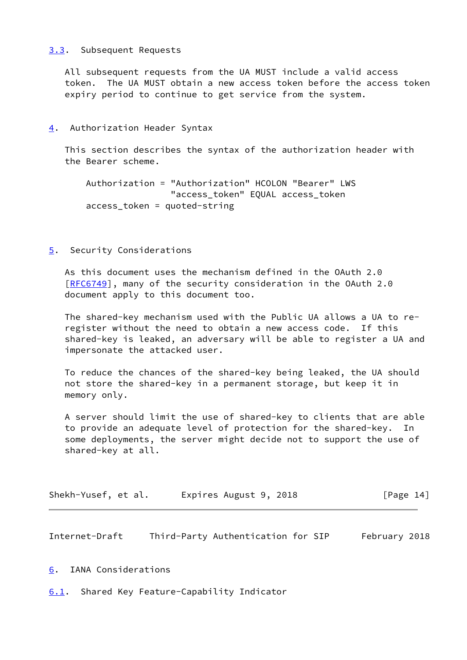## <span id="page-15-0"></span>[3.3](#page-15-0). Subsequent Requests

 All subsequent requests from the UA MUST include a valid access token. The UA MUST obtain a new access token before the access token expiry period to continue to get service from the system.

<span id="page-15-1"></span>[4](#page-15-1). Authorization Header Syntax

 This section describes the syntax of the authorization header with the Bearer scheme.

```
 Authorization = "Authorization" HCOLON "Bearer" LWS
                "access_token" EQUAL access_token
access_token = quoted-string
```
<span id="page-15-2"></span>[5](#page-15-2). Security Considerations

 As this document uses the mechanism defined in the OAuth 2.0 [\[RFC6749](https://datatracker.ietf.org/doc/pdf/rfc6749)], many of the security consideration in the OAuth 2.0 document apply to this document too.

 The shared-key mechanism used with the Public UA allows a UA to re register without the need to obtain a new access code. If this shared-key is leaked, an adversary will be able to register a UA and impersonate the attacked user.

 To reduce the chances of the shared-key being leaked, the UA should not store the shared-key in a permanent storage, but keep it in memory only.

 A server should limit the use of shared-key to clients that are able to provide an adequate level of protection for the shared-key. In some deployments, the server might decide not to support the use of shared-key at all.

| Shekh-Yusef, et al. | Expires August 9, 2018 | [Page 14] |
|---------------------|------------------------|-----------|
|---------------------|------------------------|-----------|

<span id="page-15-4"></span>Internet-Draft Third-Party Authentication for SIP February 2018

<span id="page-15-3"></span>[6](#page-15-3). IANA Considerations

<span id="page-15-5"></span>[6.1](#page-15-5). Shared Key Feature-Capability Indicator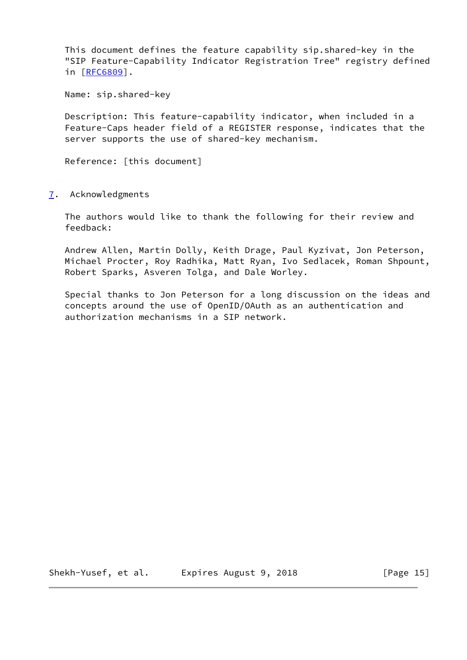This document defines the feature capability sip.shared-key in the "SIP Feature-Capability Indicator Registration Tree" registry defined in [[RFC6809\]](https://datatracker.ietf.org/doc/pdf/rfc6809).

Name: sip.shared-key

 Description: This feature-capability indicator, when included in a Feature-Caps header field of a REGISTER response, indicates that the server supports the use of shared-key mechanism.

Reference: [this document]

<span id="page-16-0"></span>[7](#page-16-0). Acknowledgments

 The authors would like to thank the following for their review and feedback:

 Andrew Allen, Martin Dolly, Keith Drage, Paul Kyzivat, Jon Peterson, Michael Procter, Roy Radhika, Matt Ryan, Ivo Sedlacek, Roman Shpount, Robert Sparks, Asveren Tolga, and Dale Worley.

 Special thanks to Jon Peterson for a long discussion on the ideas and concepts around the use of OpenID/OAuth as an authentication and authorization mechanisms in a SIP network.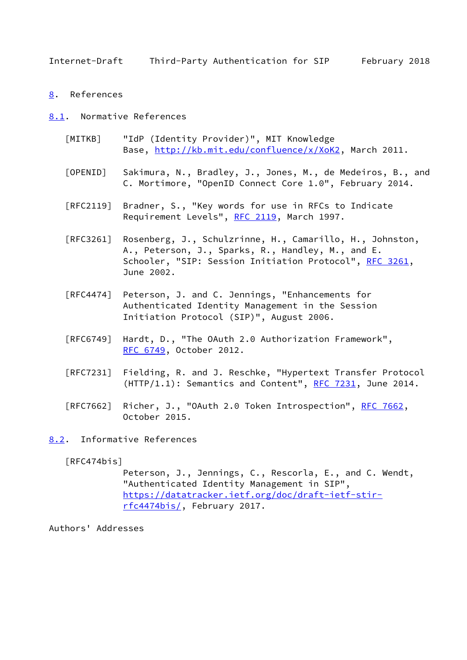<span id="page-17-1"></span><span id="page-17-0"></span>[8](#page-17-0). References

<span id="page-17-2"></span>[8.1](#page-17-2). Normative References

- <span id="page-17-5"></span> [MITKB] "IdP (Identity Provider)", MIT Knowledge Base,<http://kb.mit.edu/confluence/x/XoK2>, March 2011.
- <span id="page-17-4"></span> [OPENID] Sakimura, N., Bradley, J., Jones, M., de Medeiros, B., and C. Mortimore, "OpenID Connect Core 1.0", February 2014.
- [RFC2119] Bradner, S., "Key words for use in RFCs to Indicate Requirement Levels", [RFC 2119](https://datatracker.ietf.org/doc/pdf/rfc2119), March 1997.
- [RFC3261] Rosenberg, J., Schulzrinne, H., Camarillo, H., Johnston, A., Peterson, J., Sparks, R., Handley, M., and E. Schooler, "SIP: Session Initiation Protocol", [RFC 3261](https://datatracker.ietf.org/doc/pdf/rfc3261), June 2002.
- [RFC4474] Peterson, J. and C. Jennings, "Enhancements for Authenticated Identity Management in the Session Initiation Protocol (SIP)", August 2006.
- [RFC6749] Hardt, D., "The OAuth 2.0 Authorization Framework", [RFC 6749,](https://datatracker.ietf.org/doc/pdf/rfc6749) October 2012.
- [RFC7231] Fielding, R. and J. Reschke, "Hypertext Transfer Protocol  $(HTTP/1.1):$  Semantics and Content", [RFC 7231,](https://datatracker.ietf.org/doc/pdf/rfc7231) June 2014.
- [RFC7662] Richer, J., "OAuth 2.0 Token Introspection", [RFC 7662](https://datatracker.ietf.org/doc/pdf/rfc7662), October 2015.

<span id="page-17-3"></span>[8.2](#page-17-3). Informative References

<span id="page-17-6"></span>[RFC474bis]

 Peterson, J., Jennings, C., Rescorla, E., and C. Wendt, "Authenticated Identity Management in SIP", [https://datatracker.ietf.org/doc/draft-ietf-stir](https://datatracker.ietf.org/doc/draft-ietf-stir-rfc4474bis/) [rfc4474bis/](https://datatracker.ietf.org/doc/draft-ietf-stir-rfc4474bis/), February 2017.

Authors' Addresses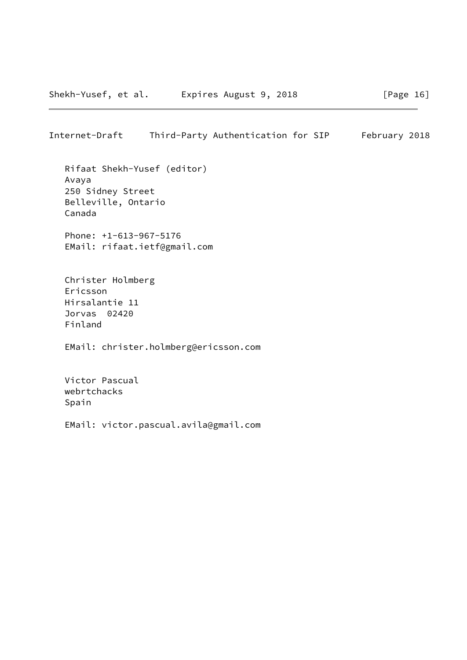Rifaat Shekh-Yusef (editor) Avaya 250 Sidney Street Belleville, Ontario Canada

 Phone: +1-613-967-5176 EMail: rifaat.ietf@gmail.com

 Christer Holmberg Ericsson Hirsalantie 11 Jorvas 02420 Finland

EMail: christer.holmberg@ericsson.com

 Victor Pascual webrtchacks Spain

EMail: victor.pascual.avila@gmail.com